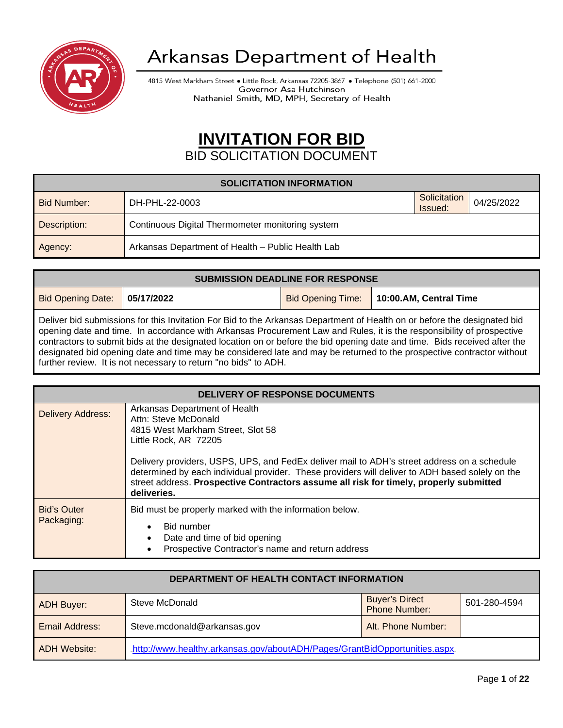

# Arkansas Department of Health

4815 West Markham Street . Little Rock, Arkansas 72205-3867 . Telephone (501) 661-2000 Governor Asa Hutchinson Nathaniel Smith, MD, MPH, Secretary of Health

# <sup>U</sup>**INVITATION FOR BID**

## BID SOLICITATION DOCUMENT

| <b>SOLICITATION INFORMATION</b> |                                                   |                         |            |  |
|---------------------------------|---------------------------------------------------|-------------------------|------------|--|
| Bid Number:                     | DH-PHL-22-0003                                    | Solicitation<br>Issued: | 04/25/2022 |  |
| Description:                    | Continuous Digital Thermometer monitoring system  |                         |            |  |
| Agency:                         | Arkansas Department of Health - Public Health Lab |                         |            |  |

| <b>SUBMISSION DEADLINE FOR RESPONSE</b>                                                                                                                                                                                                                                                                                                                                        |  |  |                                            |
|--------------------------------------------------------------------------------------------------------------------------------------------------------------------------------------------------------------------------------------------------------------------------------------------------------------------------------------------------------------------------------|--|--|--------------------------------------------|
| <b>Bid Opening Date: 05/17/2022</b>                                                                                                                                                                                                                                                                                                                                            |  |  | Bid Opening Time:   10:00.AM, Central Time |
| Deliver bid submissions for this Invitation For Bid to the Arkansas Department of Health on or before the designated bid<br>opening date and time. In accordance with Arkansas Procurement Law and Rules, it is the responsibility of prospective<br>contractors to submit bids at the designated location on or before the bid opening date and time. Bids received after the |  |  |                                            |

contractors to submit bids at the designated location on or before the bid opening date and time. Bids received after the designated bid opening date and time may be considered late and may be returned to the prospective contractor without further review. It is not necessary to return "no bids" to ADH.

| DELIVERY OF RESPONSE DOCUMENTS   |                                                                                                                                                                                                                                                                                                                                                                                                                                |  |  |
|----------------------------------|--------------------------------------------------------------------------------------------------------------------------------------------------------------------------------------------------------------------------------------------------------------------------------------------------------------------------------------------------------------------------------------------------------------------------------|--|--|
| <b>Delivery Address:</b>         | Arkansas Department of Health<br>Attn: Steve McDonald<br>4815 West Markham Street, Slot 58<br>Little Rock, AR 72205<br>Delivery providers, USPS, UPS, and FedEx deliver mail to ADH's street address on a schedule<br>determined by each individual provider. These providers will deliver to ADH based solely on the<br>street address. Prospective Contractors assume all risk for timely, properly submitted<br>deliveries. |  |  |
| <b>Bid's Outer</b><br>Packaging: | Bid must be properly marked with the information below.<br><b>Bid number</b><br>Date and time of bid opening<br>Prospective Contractor's name and return address                                                                                                                                                                                                                                                               |  |  |

| DEPARTMENT OF HEALTH CONTACT INFORMATION |                                                                            |                                               |              |
|------------------------------------------|----------------------------------------------------------------------------|-----------------------------------------------|--------------|
| <b>ADH Buyer:</b>                        | Steve McDonald                                                             | <b>Buyer's Direct</b><br><b>Phone Number:</b> | 501-280-4594 |
| <b>Email Address:</b>                    | Steve.mcdonald@arkansas.gov                                                | Alt. Phone Number:                            |              |
| <b>ADH Website:</b>                      | http://www.healthy.arkansas.gov/aboutADH/Pages/GrantBidOpportunities.aspx. |                                               |              |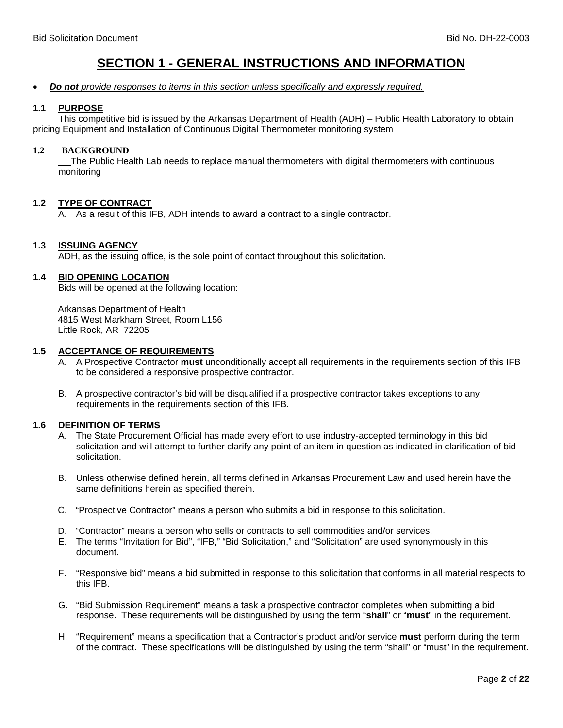## **SECTION 1 - GENERAL INSTRUCTIONS AND INFORMATION**

### • *Do not provide responses to items in this section unless specifically and expressly required.*

### **1.1 PURPOSE**

 This competitive bid is issued by the Arkansas Department of Health (ADH) – Public Health Laboratory to obtain pricing Equipment and Installation of Continuous Digital Thermometer monitoring system

### **1.2 BACKGROUND**

The Public Health Lab needs to replace manual thermometers with digital thermometers with continuous monitoring

### **1.2 TYPE OF CONTRACT**

A. As a result of this IFB, ADH intends to award a contract to a single contractor.

### **1.3 ISSUING AGENCY**

ADH, as the issuing office, is the sole point of contact throughout this solicitation.

### **1.4 BID OPENING LOCATION**

Bids will be opened at the following location:

Arkansas Department of Health 4815 West Markham Street, Room L156 Little Rock, AR 72205

### **1.5 ACCEPTANCE OF REQUIREMENTS**

- A. A Prospective Contractor **must** unconditionally accept all requirements in the requirements section of this IFB to be considered a responsive prospective contractor.
- B. A prospective contractor's bid will be disqualified if a prospective contractor takes exceptions to any requirements in the requirements section of this IFB.

### **1.6 DEFINITION OF TERMS**

- The State Procurement Official has made every effort to use industry-accepted terminology in this bid solicitation and will attempt to further clarify any point of an item in question as indicated in clarification of bid solicitation.
- B. Unless otherwise defined herein, all terms defined in Arkansas Procurement Law and used herein have the same definitions herein as specified therein.
- C. "Prospective Contractor" means a person who submits a bid in response to this solicitation.
- D. "Contractor" means a person who sells or contracts to sell commodities and/or services.
- E. The terms "Invitation for Bid", "IFB," "Bid Solicitation," and "Solicitation" are used synonymously in this document.
- F. "Responsive bid" means a bid submitted in response to this solicitation that conforms in all material respects to this IFB.
- G. "Bid Submission Requirement" means a task a prospective contractor completes when submitting a bid response. These requirements will be distinguished by using the term "**shall**" or "**must**" in the requirement.
- H. "Requirement" means a specification that a Contractor's product and/or service **must** perform during the term of the contract. These specifications will be distinguished by using the term "shall" or "must" in the requirement.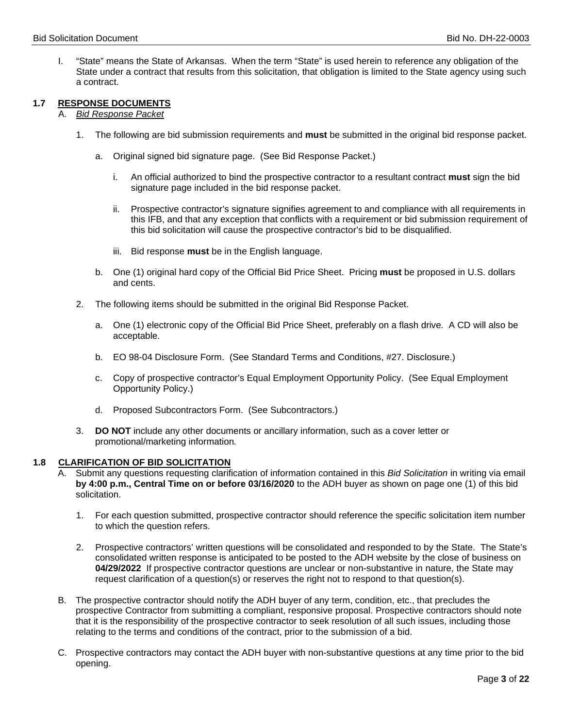I. "State" means the State of Arkansas. When the term "State" is used herein to reference any obligation of the State under a contract that results from this solicitation, that obligation is limited to the State agency using such a contract.

### **1.7 RESPONSE DOCUMENTS**

A. *Bid Response Packet*

- 1. The following are bid submission requirements and **must** be submitted in the original bid response packet.
	- a. Original signed bid signature page. (See Bid Response Packet.)
		- i. An official authorized to bind the prospective contractor to a resultant contract **must** sign the bid signature page included in the bid response packet.
		- ii. Prospective contractor's signature signifies agreement to and compliance with all requirements in this IFB, and that any exception that conflicts with a requirement or bid submission requirement of this bid solicitation will cause the prospective contractor's bid to be disqualified.
		- iii. Bid response **must** be in the English language.
	- b. One (1) original hard copy of the Official Bid Price Sheet. Pricing **must** be proposed in U.S. dollars and cents.
- 2. The following items should be submitted in the original Bid Response Packet.
	- a. One (1) electronic copy of the Official Bid Price Sheet, preferably on a flash drive. A CD will also be acceptable.
	- b. EO 98-04 Disclosure Form. (See Standard Terms and Conditions, #27. Disclosure.)
	- c. Copy of prospective contractor's Equal Employment Opportunity Policy. (See Equal Employment Opportunity Policy.)
	- d. Proposed Subcontractors Form. (See Subcontractors.)
- 3. **DO NOT** include any other documents or ancillary information, such as a cover letter or promotional/marketing information*.*

### **1.8 CLARIFICATION OF BID SOLICITATION**

- A. Submit any questions requesting clarification of information contained in this *Bid Solicitation* in writing via email **by 4:00 p.m., Central Time on or before 03/16/2020** to the ADH buyer as shown on page one (1) of this bid solicitation.
	- 1. For each question submitted, prospective contractor should reference the specific solicitation item number to which the question refers.
	- 2. Prospective contractors' written questions will be consolidated and responded to by the State. The State's consolidated written response is anticipated to be posted to the ADH website by the close of business on **04/29/2022** If prospective contractor questions are unclear or non-substantive in nature, the State may request clarification of a question(s) or reserves the right not to respond to that question(s).
- B. The prospective contractor should notify the ADH buyer of any term, condition, etc., that precludes the prospective Contractor from submitting a compliant, responsive proposal. Prospective contractors should note that it is the responsibility of the prospective contractor to seek resolution of all such issues, including those relating to the terms and conditions of the contract, prior to the submission of a bid.
- C. Prospective contractors may contact the ADH buyer with non-substantive questions at any time prior to the bid opening.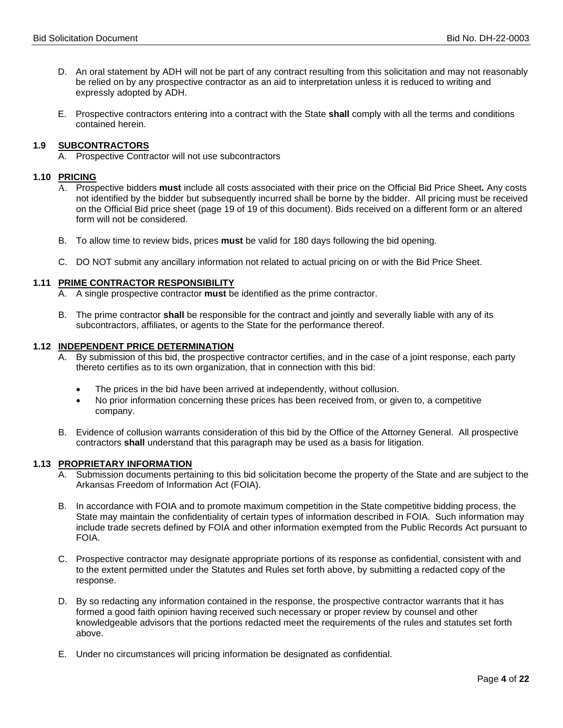- D. An oral statement by ADH will not be part of any contract resulting from this solicitation and may not reasonably be relied on by any prospective contractor as an aid to interpretation unless it is reduced to writing and expressly adopted by ADH.
- E. Prospective contractors entering into a contract with the State **shall** comply with all the terms and conditions contained herein.

### **1.9 SUBCONTRACTORS**

A. Prospective Contractor will not use subcontractors

### **1.10 PRICING**

- A. Prospective bidders **must** include all costs associated with their price on the Official Bid Price Sheet*.* Any costs not identified by the bidder but subsequently incurred shall be borne by the bidder. All pricing must be received on the Official Bid price sheet (page 19 of 19 of this document). Bids received on a different form or an altered form will not be considered.
- B. To allow time to review bids, prices **must** be valid for 180 days following the bid opening.
- C. DO NOT submit any ancillary information not related to actual pricing on or with the Bid Price Sheet.

### **1.11 PRIME CONTRACTOR RESPONSIBILITY**

- A. A single prospective contractor **must** be identified as the prime contractor.
- B. The prime contractor **shall** be responsible for the contract and jointly and severally liable with any of its subcontractors, affiliates, or agents to the State for the performance thereof.

### **1.12 INDEPENDENT PRICE DETERMINATION**

- A. By submission of this bid, the prospective contractor certifies, and in the case of a joint response, each party thereto certifies as to its own organization, that in connection with this bid:
	- The prices in the bid have been arrived at independently, without collusion.
	- No prior information concerning these prices has been received from, or given to, a competitive company.
- B. Evidence of collusion warrants consideration of this bid by the Office of the Attorney General. All prospective contractors **shall** understand that this paragraph may be used as a basis for litigation.

#### **1.13 PROPRIETARY INFORMATION**

- A. Submission documents pertaining to this bid solicitation become the property of the State and are subject to the Arkansas Freedom of Information Act (FOIA).
- B. In accordance with FOIA and to promote maximum competition in the State competitive bidding process, the State may maintain the confidentiality of certain types of information described in FOIA. Such information may include trade secrets defined by FOIA and other information exempted from the Public Records Act pursuant to FOIA.
- C. Prospective contractor may designate appropriate portions of its response as confidential, consistent with and to the extent permitted under the Statutes and Rules set forth above, by submitting a redacted copy of the response.
- D. By so redacting any information contained in the response, the prospective contractor warrants that it has formed a good faith opinion having received such necessary or proper review by counsel and other knowledgeable advisors that the portions redacted meet the requirements of the rules and statutes set forth above.
- E. Under no circumstances will pricing information be designated as confidential.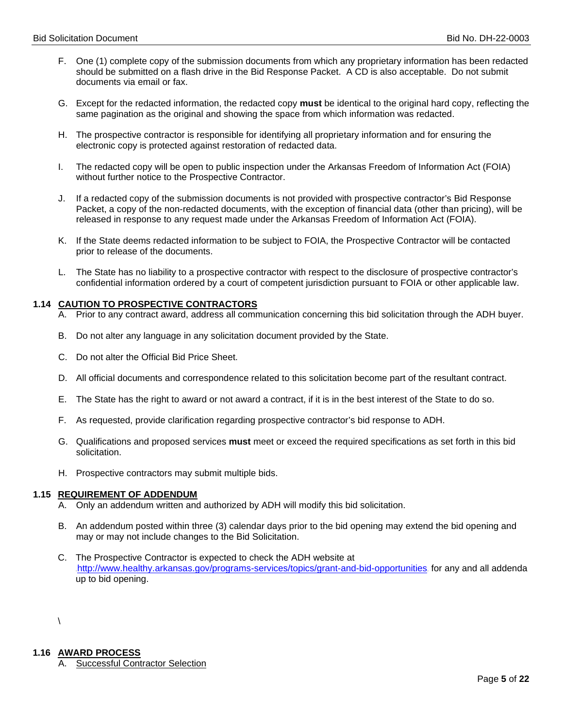- F. One (1) complete copy of the submission documents from which any proprietary information has been redacted should be submitted on a flash drive in the Bid Response Packet. A CD is also acceptable. Do not submit documents via email or fax.
- G. Except for the redacted information, the redacted copy **must** be identical to the original hard copy, reflecting the same pagination as the original and showing the space from which information was redacted.
- H. The prospective contractor is responsible for identifying all proprietary information and for ensuring the electronic copy is protected against restoration of redacted data.
- I. The redacted copy will be open to public inspection under the Arkansas Freedom of Information Act (FOIA) without further notice to the Prospective Contractor.
- J. If a redacted copy of the submission documents is not provided with prospective contractor's Bid Response Packet, a copy of the non-redacted documents, with the exception of financial data (other than pricing), will be released in response to any request made under the Arkansas Freedom of Information Act (FOIA).
- K. If the State deems redacted information to be subject to FOIA, the Prospective Contractor will be contacted prior to release of the documents.
- L. The State has no liability to a prospective contractor with respect to the disclosure of prospective contractor's confidential information ordered by a court of competent jurisdiction pursuant to FOIA or other applicable law.

### **1.14 CAUTION TO PROSPECTIVE CONTRACTORS**

- A. Prior to any contract award, address all communication concerning this bid solicitation through the ADH buyer.
- B. Do not alter any language in any solicitation document provided by the State.
- C. Do not alter the Official Bid Price Sheet.
- D. All official documents and correspondence related to this solicitation become part of the resultant contract.
- E. The State has the right to award or not award a contract, if it is in the best interest of the State to do so.
- F. As requested, provide clarification regarding prospective contractor's bid response to ADH.
- G. Qualifications and proposed services **must** meet or exceed the required specifications as set forth in this bid solicitation.
- H. Prospective contractors may submit multiple bids.

### **1.15 REQUIREMENT OF ADDENDUM**

- A. Only an addendum written and authorized by ADH will modify this bid solicitation.
- B. An addendum posted within three (3) calendar days prior to the bid opening may extend the bid opening and may or may not include changes to the Bid Solicitation.
- C. The Prospective Contractor is expected to check the ADH website at <http://www.healthy.arkansas.gov/programs-services/topics/grant-and-bid-opportunities> for any and all addenda up to bid opening.

 $\overline{\phantom{0}}$ 

# **1.16 AWARD PROCESS**

**Successful Contractor Selection**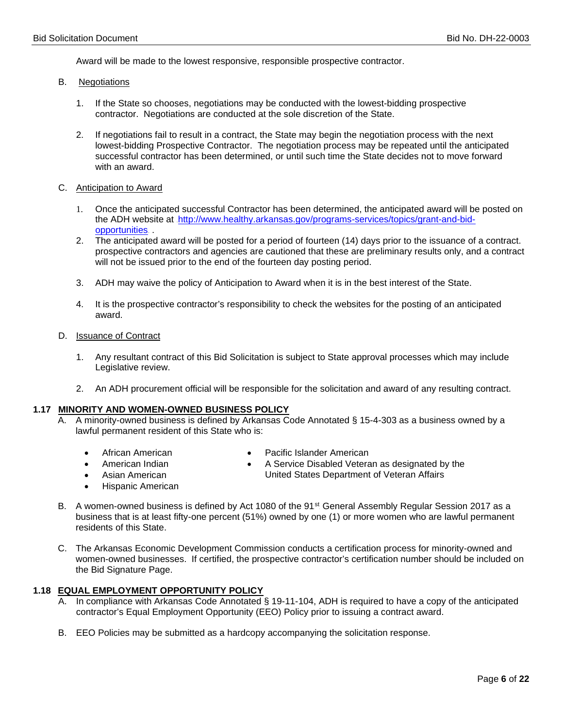Award will be made to the lowest responsive, responsible prospective contractor.

- B. Negotiations
	- 1. If the State so chooses, negotiations may be conducted with the lowest-bidding prospective contractor. Negotiations are conducted at the sole discretion of the State.
	- 2. If negotiations fail to result in a contract, the State may begin the negotiation process with the next lowest-bidding Prospective Contractor. The negotiation process may be repeated until the anticipated successful contractor has been determined, or until such time the State decides not to move forward with an award.
- C. Anticipation to Award
	- 1. Once the anticipated successful Contractor has been determined, the anticipated award will be posted on the ADH website at [http://www.healthy.arkansas.gov/programs-services/topics/grant-and-bid](http://www.healthy.arkansas.gov/programs-services/topics/grant-and-bid-opportunities)[opportunities](http://www.healthy.arkansas.gov/programs-services/topics/grant-and-bid-opportunities).
	- 2. The anticipated award will be posted for a period of fourteen (14) days prior to the issuance of a contract. prospective contractors and agencies are cautioned that these are preliminary results only, and a contract will not be issued prior to the end of the fourteen day posting period.
	- 3. ADH may waive the policy of Anticipation to Award when it is in the best interest of the State.
	- 4. It is the prospective contractor's responsibility to check the websites for the posting of an anticipated award.
- D. Issuance of Contract
	- 1. Any resultant contract of this Bid Solicitation is subject to State approval processes which may include Legislative review.
	- 2. An ADH procurement official will be responsible for the solicitation and award of any resulting contract.

### **1.17 MINORITY AND WOMEN-OWNED BUSINESS POLICY**

- A. A minority-owned business is defined by Arkansas Code Annotated § 15-4-303 as a business owned by a lawful permanent resident of this State who is:
	- African American
- Pacific Islander American
- American Indian
- 
- Asian American
- Hispanic American
- A Service Disabled Veteran as designated by the United States Department of Veteran Affairs
- B. A women-owned business is defined by Act 1080 of the 91<sup>st</sup> General Assembly Regular Session 2017 as a business that is at least fifty-one percent (51%) owned by one (1) or more women who are lawful permanent residents of this State.
- C. The Arkansas Economic Development Commission conducts a certification process for minority-owned and women-owned businesses. If certified, the prospective contractor's certification number should be included on the Bid Signature Page.

### **1.18 EQUAL EMPLOYMENT OPPORTUNITY POLICY**

- A. In compliance with Arkansas Code Annotated § 19-11-104, ADH is required to have a copy of the anticipated contractor's Equal Employment Opportunity (EEO) Policy prior to issuing a contract award.
- B. EEO Policies may be submitted as a hardcopy accompanying the solicitation response.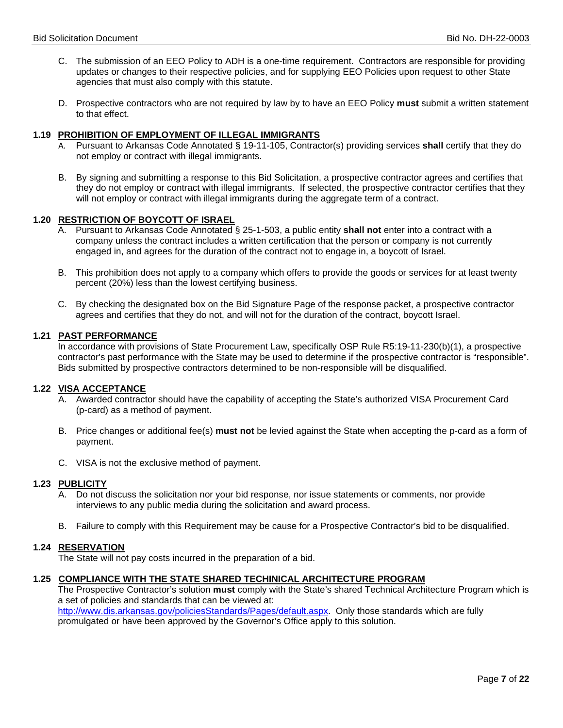- C. The submission of an EEO Policy to ADH is a one-time requirement. Contractors are responsible for providing updates or changes to their respective policies, and for supplying EEO Policies upon request to other State agencies that must also comply with this statute.
- D. Prospective contractors who are not required by law by to have an EEO Policy **must** submit a written statement to that effect.

### **1.19 PROHIBITION OF EMPLOYMENT OF ILLEGAL IMMIGRANTS**

- A. Pursuant to Arkansas Code Annotated § 19-11-105, Contractor(s) providing services **shall** certify that they do not employ or contract with illegal immigrants.
- B. By signing and submitting a response to this Bid Solicitation, a prospective contractor agrees and certifies that they do not employ or contract with illegal immigrants. If selected, the prospective contractor certifies that they will not employ or contract with illegal immigrants during the aggregate term of a contract.

### **1.20 RESTRICTION OF BOYCOTT OF ISRAEL**

- A. Pursuant to Arkansas Code Annotated § 25-1-503, a public entity **shall not** enter into a contract with a company unless the contract includes a written certification that the person or company is not currently engaged in, and agrees for the duration of the contract not to engage in, a boycott of Israel.
- B. This prohibition does not apply to a company which offers to provide the goods or services for at least twenty percent (20%) less than the lowest certifying business.
- C. By checking the designated box on the Bid Signature Page of the response packet, a prospective contractor agrees and certifies that they do not, and will not for the duration of the contract, boycott Israel.

### **1.21 PAST PERFORMANCE**

In accordance with provisions of State Procurement Law, specifically OSP Rule R5:19-11-230(b)(1), a prospective contractor's past performance with the State may be used to determine if the prospective contractor is "responsible". Bids submitted by prospective contractors determined to be non-responsible will be disqualified.

### **1.22 VISA ACCEPTANCE**

- A. Awarded contractor should have the capability of accepting the State's authorized VISA Procurement Card (p-card) as a method of payment.
- B. Price changes or additional fee(s) **must not** be levied against the State when accepting the p-card as a form of payment.
- C. VISA is not the exclusive method of payment.

#### **1.23 PUBLICITY**

- A. Do not discuss the solicitation nor your bid response, nor issue statements or comments, nor provide interviews to any public media during the solicitation and award process.
- B. Failure to comply with this Requirement may be cause for a Prospective Contractor's bid to be disqualified.

#### **1.24 RESERVATION**

The State will not pay costs incurred in the preparation of a bid.

#### **1.25 COMPLIANCE WITH THE STATE SHARED TECHINICAL ARCHITECTURE PROGRAM**

The Prospective Contractor's solution **must** comply with the State's shared Technical Architecture Program which is a set of policies and standards that can be viewed at: [http://www.dis.arkansas.gov/policiesStandards/Pages/default.aspx.](http://www.dis.arkansas.gov/policiesStandards/Pages/default.aspx) Only those standards which are fully promulgated or have been approved by the Governor's Office apply to this solution.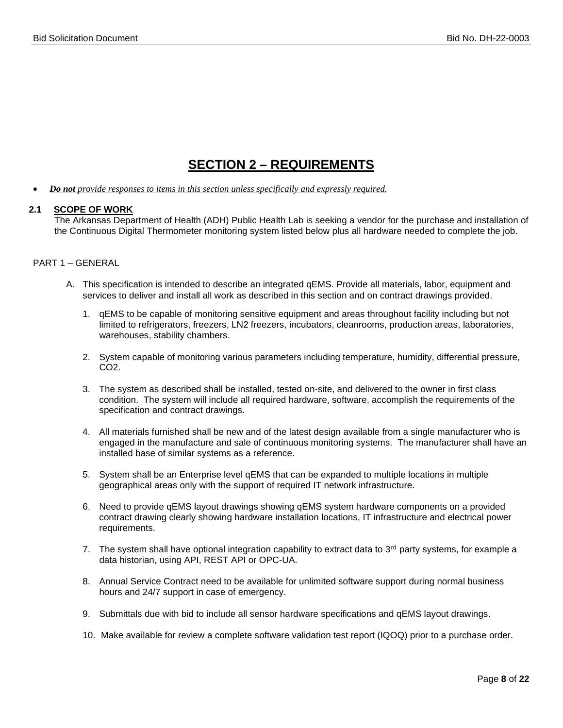## **SECTION 2 – REQUIREMENTS**

• *Do not provide responses to items in this section unless specifically and expressly required.*

### **2.1 SCOPE OF WORK**

The Arkansas Department of Health (ADH) Public Health Lab is seeking a vendor for the purchase and installation of the Continuous Digital Thermometer monitoring system listed below plus all hardware needed to complete the job.

### PART 1 – GENERAL

- A. This specification is intended to describe an integrated qEMS. Provide all materials, labor, equipment and services to deliver and install all work as described in this section and on contract drawings provided.
	- 1. qEMS to be capable of monitoring sensitive equipment and areas throughout facility including but not limited to refrigerators, freezers, LN2 freezers, incubators, cleanrooms, production areas, laboratories, warehouses, stability chambers.
	- 2. System capable of monitoring various parameters including temperature, humidity, differential pressure,  $CO<sub>2</sub>$ .
	- 3. The system as described shall be installed, tested on-site, and delivered to the owner in first class condition. The system will include all required hardware, software, accomplish the requirements of the specification and contract drawings.
	- 4. All materials furnished shall be new and of the latest design available from a single manufacturer who is engaged in the manufacture and sale of continuous monitoring systems. The manufacturer shall have an installed base of similar systems as a reference.
	- 5. System shall be an Enterprise level qEMS that can be expanded to multiple locations in multiple geographical areas only with the support of required IT network infrastructure.
	- 6. Need to provide qEMS layout drawings showing qEMS system hardware components on a provided contract drawing clearly showing hardware installation locations, IT infrastructure and electrical power requirements.
	- 7. The system shall have optional integration capability to extract data to 3<sup>rd</sup> party systems, for example a data historian, using API, REST API or OPC-UA.
	- 8. Annual Service Contract need to be available for unlimited software support during normal business hours and 24/7 support in case of emergency.
	- 9. Submittals due with bid to include all sensor hardware specifications and qEMS layout drawings.
	- 10. Make available for review a complete software validation test report (IQOQ) prior to a purchase order.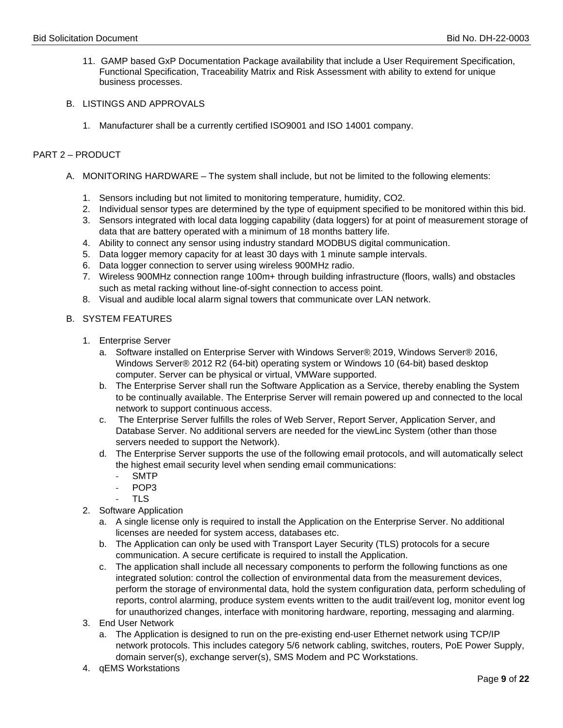- 11. GAMP based GxP Documentation Package availability that include a User Requirement Specification, Functional Specification, Traceability Matrix and Risk Assessment with ability to extend for unique business processes.
- B. LISTINGS AND APPROVALS
	- 1. Manufacturer shall be a currently certified ISO9001 and ISO 14001 company.

### PART 2 – PRODUCT

- A. MONITORING HARDWARE The system shall include, but not be limited to the following elements:
	- 1. Sensors including but not limited to monitoring temperature, humidity, CO2.
	- 2. Individual sensor types are determined by the type of equipment specified to be monitored within this bid.
	- 3. Sensors integrated with local data logging capability (data loggers) for at point of measurement storage of data that are battery operated with a minimum of 18 months battery life.
	- 4. Ability to connect any sensor using industry standard MODBUS digital communication.
	- 5. Data logger memory capacity for at least 30 days with 1 minute sample intervals.
	- 6. Data logger connection to server using wireless 900MHz radio.
	- 7. Wireless 900MHz connection range 100m+ through building infrastructure (floors, walls) and obstacles such as metal racking without line-of-sight connection to access point.
	- 8. Visual and audible local alarm signal towers that communicate over LAN network.

### B. SYSTEM FEATURES

- 1. Enterprise Server
	- a. Software installed on Enterprise Server with Windows Server®ׅ 2019, Windows Server® 2016, Windows Server® 2012 R2 (64-bit) operating system or Windows 10 (64-bit) based desktop computer. Server can be physical or virtual, VMWare supported.
	- b. The Enterprise Server shall run the Software Application as a Service, thereby enabling the System to be continually available. The Enterprise Server will remain powered up and connected to the local network to support continuous access.
	- c. The Enterprise Server fulfills the roles of Web Server, Report Server, Application Server, and Database Server. No additional servers are needed for the viewLinc System (other than those servers needed to support the Network).
	- d. The Enterprise Server supports the use of the following email protocols, and will automatically select the highest email security level when sending email communications:
		- SMTP
		- POP3
		- TLS
- 2. Software Application
	- a. A single license only is required to install the Application on the Enterprise Server. No additional licenses are needed for system access, databases etc.
	- b. The Application can only be used with Transport Layer Security (TLS) protocols for a secure communication. A secure certificate is required to install the Application.
	- c. The application shall include all necessary components to perform the following functions as one integrated solution: control the collection of environmental data from the measurement devices, perform the storage of environmental data, hold the system configuration data, perform scheduling of reports, control alarming, produce system events written to the audit trail/event log, monitor event log for unauthorized changes, interface with monitoring hardware, reporting, messaging and alarming.
- 3. End User Network
	- a. The Application is designed to run on the pre-existing end-user Ethernet network using TCP/IP network protocols. This includes category 5/6 network cabling, switches, routers, PoE Power Supply, domain server(s), exchange server(s), SMS Modem and PC Workstations.
- 4. qEMS Workstations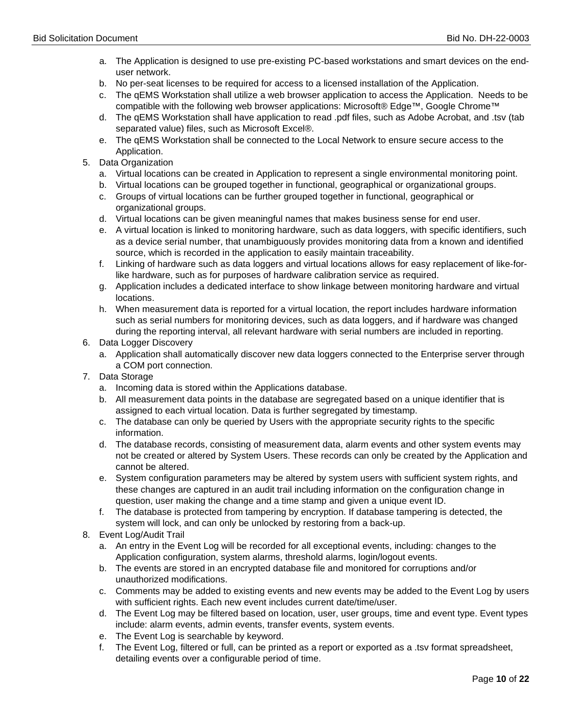- a. The Application is designed to use pre-existing PC-based workstations and smart devices on the enduser network.
- b. No per-seat licenses to be required for access to a licensed installation of the Application.
- c. The qEMS Workstation shall utilize a web browser application to access the Application. Needs to be compatible with the following web browser applications: Microsoft® Edge™, Google Chrome™
- d. The qEMS Workstation shall have application to read .pdf files, such as Adobe Acrobat, and .tsv (tab separated value) files, such as Microsoft Excel®.
- e. The qEMS Workstation shall be connected to the Local Network to ensure secure access to the Application.
- 5. Data Organization
	- a. Virtual locations can be created in Application to represent a single environmental monitoring point.
	- b. Virtual locations can be grouped together in functional, geographical or organizational groups.
	- c. Groups of virtual locations can be further grouped together in functional, geographical or organizational groups.
	- d. Virtual locations can be given meaningful names that makes business sense for end user.
	- e. A virtual location is linked to monitoring hardware, such as data loggers, with specific identifiers, such as a device serial number, that unambiguously provides monitoring data from a known and identified source, which is recorded in the application to easily maintain traceability.
	- f. Linking of hardware such as data loggers and virtual locations allows for easy replacement of like-forlike hardware, such as for purposes of hardware calibration service as required.
	- g. Application includes a dedicated interface to show linkage between monitoring hardware and virtual locations.
	- h. When measurement data is reported for a virtual location, the report includes hardware information such as serial numbers for monitoring devices, such as data loggers, and if hardware was changed during the reporting interval, all relevant hardware with serial numbers are included in reporting.
- 6. Data Logger Discovery
	- a. Application shall automatically discover new data loggers connected to the Enterprise server through a COM port connection.
- 7. Data Storage
	- a. Incoming data is stored within the Applications database.
	- b. All measurement data points in the database are segregated based on a unique identifier that is assigned to each virtual location. Data is further segregated by timestamp.
	- c. The database can only be queried by Users with the appropriate security rights to the specific information.
	- d. The database records, consisting of measurement data, alarm events and other system events may not be created or altered by System Users. These records can only be created by the Application and cannot be altered.
	- e. System configuration parameters may be altered by system users with sufficient system rights, and these changes are captured in an audit trail including information on the configuration change in question, user making the change and a time stamp and given a unique event ID.
	- f. The database is protected from tampering by encryption. If database tampering is detected, the system will lock, and can only be unlocked by restoring from a back-up.
- 8. Event Log/Audit Trail
	- a. An entry in the Event Log will be recorded for all exceptional events, including: changes to the Application configuration, system alarms, threshold alarms, login/logout events.
	- b. The events are stored in an encrypted database file and monitored for corruptions and/or unauthorized modifications.
	- c. Comments may be added to existing events and new events may be added to the Event Log by users with sufficient rights. Each new event includes current date/time/user.
	- d. The Event Log may be filtered based on location, user, user groups, time and event type. Event types include: alarm events, admin events, transfer events, system events.
	- e. The Event Log is searchable by keyword.
	- f. The Event Log, filtered or full, can be printed as a report or exported as a .tsv format spreadsheet, detailing events over a configurable period of time.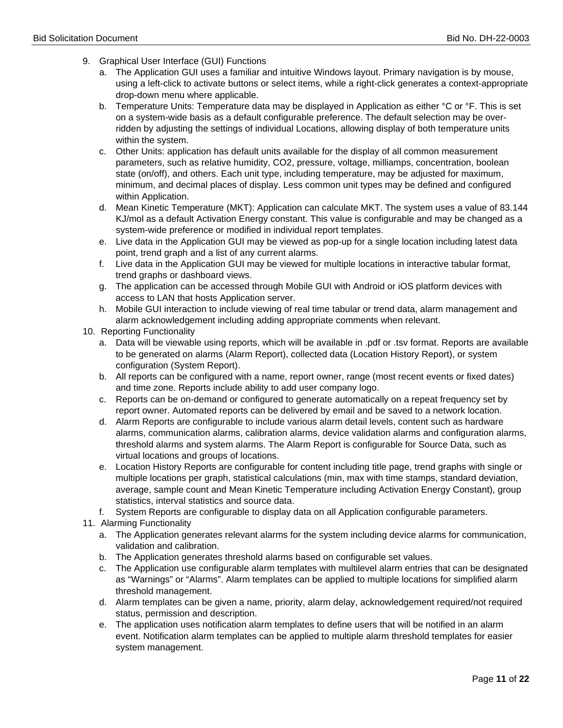- 9. Graphical User Interface (GUI) Functions
	- a. The Application GUI uses a familiar and intuitive Windows layout. Primary navigation is by mouse, using a left-click to activate buttons or select items, while a right-click generates a context-appropriate drop-down menu where applicable.
	- b. Temperature Units: Temperature data may be displayed in Application as either °C or °F. This is set on a system-wide basis as a default configurable preference. The default selection may be overridden by adjusting the settings of individual Locations, allowing display of both temperature units within the system.
	- c. Other Units: application has default units available for the display of all common measurement parameters, such as relative humidity, CO2, pressure, voltage, milliamps, concentration, boolean state (on/off), and others. Each unit type, including temperature, may be adjusted for maximum, minimum, and decimal places of display. Less common unit types may be defined and configured within Application.
	- d. Mean Kinetic Temperature (MKT): Application can calculate MKT. The system uses a value of 83.144 KJ/mol as a default Activation Energy constant. This value is configurable and may be changed as a system-wide preference or modified in individual report templates.
	- e. Live data in the Application GUI may be viewed as pop-up for a single location including latest data point, trend graph and a list of any current alarms.
	- f. Live data in the Application GUI may be viewed for multiple locations in interactive tabular format, trend graphs or dashboard views.
	- g. The application can be accessed through Mobile GUI with Android or iOS platform devices with access to LAN that hosts Application server.
	- h. Mobile GUI interaction to include viewing of real time tabular or trend data, alarm management and alarm acknowledgement including adding appropriate comments when relevant.
- 10. Reporting Functionality
	- a. Data will be viewable using reports, which will be available in .pdf or .tsv format. Reports are available to be generated on alarms (Alarm Report), collected data (Location History Report), or system configuration (System Report).
	- b. All reports can be configured with a name, report owner, range (most recent events or fixed dates) and time zone. Reports include ability to add user company logo.
	- c. Reports can be on-demand or configured to generate automatically on a repeat frequency set by report owner. Automated reports can be delivered by email and be saved to a network location.
	- d. Alarm Reports are configurable to include various alarm detail levels, content such as hardware alarms, communication alarms, calibration alarms, device validation alarms and configuration alarms, threshold alarms and system alarms. The Alarm Report is configurable for Source Data, such as virtual locations and groups of locations.
	- e. Location History Reports are configurable for content including title page, trend graphs with single or multiple locations per graph, statistical calculations (min, max with time stamps, standard deviation, average, sample count and Mean Kinetic Temperature including Activation Energy Constant), group statistics, interval statistics and source data.
	- f. System Reports are configurable to display data on all Application configurable parameters.
- 11. Alarming Functionality
	- a. The Application generates relevant alarms for the system including device alarms for communication, validation and calibration.
	- b. The Application generates threshold alarms based on configurable set values.
	- c. The Application use configurable alarm templates with multilevel alarm entries that can be designated as "Warnings" or "Alarms". Alarm templates can be applied to multiple locations for simplified alarm threshold management.
	- d. Alarm templates can be given a name, priority, alarm delay, acknowledgement required/not required status, permission and description.
	- e. The application uses notification alarm templates to define users that will be notified in an alarm event. Notification alarm templates can be applied to multiple alarm threshold templates for easier system management.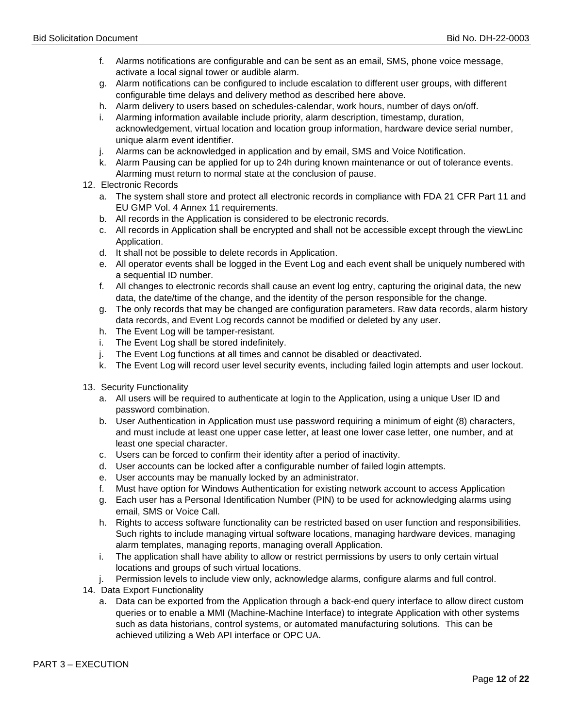- f. Alarms notifications are configurable and can be sent as an email, SMS, phone voice message, activate a local signal tower or audible alarm.
- g. Alarm notifications can be configured to include escalation to different user groups, with different configurable time delays and delivery method as described here above.
- h. Alarm delivery to users based on schedules-calendar, work hours, number of days on/off.
- i. Alarming information available include priority, alarm description, timestamp, duration, acknowledgement, virtual location and location group information, hardware device serial number, unique alarm event identifier.
- j. Alarms can be acknowledged in application and by email, SMS and Voice Notification.
- k. Alarm Pausing can be applied for up to 24h during known maintenance or out of tolerance events. Alarming must return to normal state at the conclusion of pause.
- 12. Electronic Records
	- a. The system shall store and protect all electronic records in compliance with FDA 21 CFR Part 11 and EU GMP Vol. 4 Annex 11 requirements.
	- b. All records in the Application is considered to be electronic records.
	- c. All records in Application shall be encrypted and shall not be accessible except through the viewLinc Application.
	- d. It shall not be possible to delete records in Application.
	- e. All operator events shall be logged in the Event Log and each event shall be uniquely numbered with a sequential ID number.
	- f. All changes to electronic records shall cause an event log entry, capturing the original data, the new data, the date/time of the change, and the identity of the person responsible for the change.
	- g. The only records that may be changed are configuration parameters. Raw data records, alarm history data records, and Event Log records cannot be modified or deleted by any user.
	- h. The Event Log will be tamper-resistant.
	- i. The Event Log shall be stored indefinitely.
	- j. The Event Log functions at all times and cannot be disabled or deactivated.
	- k. The Event Log will record user level security events, including failed login attempts and user lockout.
- 13. Security Functionality
	- a. All users will be required to authenticate at login to the Application, using a unique User ID and password combination.
	- b. User Authentication in Application must use password requiring a minimum of eight (8) characters, and must include at least one upper case letter, at least one lower case letter, one number, and at least one special character.
	- c. Users can be forced to confirm their identity after a period of inactivity.
	- d. User accounts can be locked after a configurable number of failed login attempts.
	- e. User accounts may be manually locked by an administrator.
	- f. Must have option for Windows Authentication for existing network account to access Application
	- g. Each user has a Personal Identification Number (PIN) to be used for acknowledging alarms using email, SMS or Voice Call.
	- h. Rights to access software functionality can be restricted based on user function and responsibilities. Such rights to include managing virtual software locations, managing hardware devices, managing alarm templates, managing reports, managing overall Application.
	- i. The application shall have ability to allow or restrict permissions by users to only certain virtual locations and groups of such virtual locations.
	- j. Permission levels to include view only, acknowledge alarms, configure alarms and full control.
- 14. Data Export Functionality
	- a. Data can be exported from the Application through a back-end query interface to allow direct custom queries or to enable a MMI (Machine-Machine Interface) to integrate Application with other systems such as data historians, control systems, or automated manufacturing solutions. This can be achieved utilizing a Web API interface or OPC UA.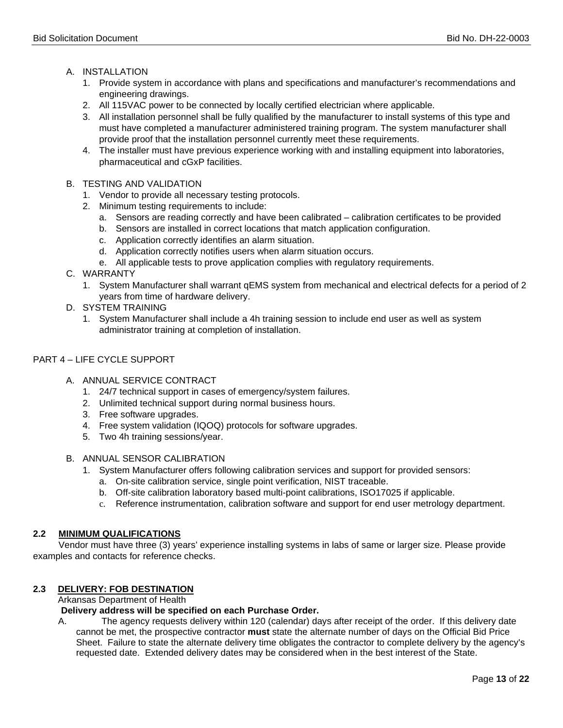### A. INSTALLATION

- 1. Provide system in accordance with plans and specifications and manufacturer's recommendations and engineering drawings.
- 2. All 115VAC power to be connected by locally certified electrician where applicable.
- 3. All installation personnel shall be fully qualified by the manufacturer to install systems of this type and must have completed a manufacturer administered training program. The system manufacturer shall provide proof that the installation personnel currently meet these requirements.
- 4. The installer must have previous experience working with and installing equipment into laboratories, pharmaceutical and cGxP facilities.
- B. TESTING AND VALIDATION
	- 1. Vendor to provide all necessary testing protocols.
	- 2. Minimum testing requirements to include:
		- a. Sensors are reading correctly and have been calibrated calibration certificates to be provided
		- b. Sensors are installed in correct locations that match application configuration.
		- c. Application correctly identifies an alarm situation.
		- d. Application correctly notifies users when alarm situation occurs.
		- e. All applicable tests to prove application complies with regulatory requirements.
- C. WARRANTY
	- 1. System Manufacturer shall warrant qEMS system from mechanical and electrical defects for a period of 2 years from time of hardware delivery.
- D. SYSTEM TRAINING
	- 1. System Manufacturer shall include a 4h training session to include end user as well as system administrator training at completion of installation.

### PART 4 – LIFE CYCLE SUPPORT

- A. ANNUAL SERVICE CONTRACT
	- 1. 24/7 technical support in cases of emergency/system failures.
	- 2. Unlimited technical support during normal business hours.
	- 3. Free software upgrades.
	- 4. Free system validation (IQOQ) protocols for software upgrades.
	- 5. Two 4h training sessions/year.
- B. ANNUAL SENSOR CALIBRATION
	- 1. System Manufacturer offers following calibration services and support for provided sensors:
		- a. On-site calibration service, single point verification, NIST traceable.
		- b. Off-site calibration laboratory based multi-point calibrations, ISO17025 if applicable.
		- c. Reference instrumentation, calibration software and support for end user metrology department.

### **2.2 MINIMUM QUALIFICATIONS**

 Vendor must have three (3) years' experience installing systems in labs of same or larger size. Please provide examples and contacts for reference checks.

### **2.3 DELIVERY: FOB DESTINATION**

Arkansas Department of Health

### **Delivery address will be specified on each Purchase Order.**

A.The agency requests delivery within 120 (calendar) days after receipt of the order. If this delivery date cannot be met, the prospective contractor **must** state the alternate number of days on the Official Bid Price Sheet. Failure to state the alternate delivery time obligates the contractor to complete delivery by the agency's requested date. Extended delivery dates may be considered when in the best interest of the State.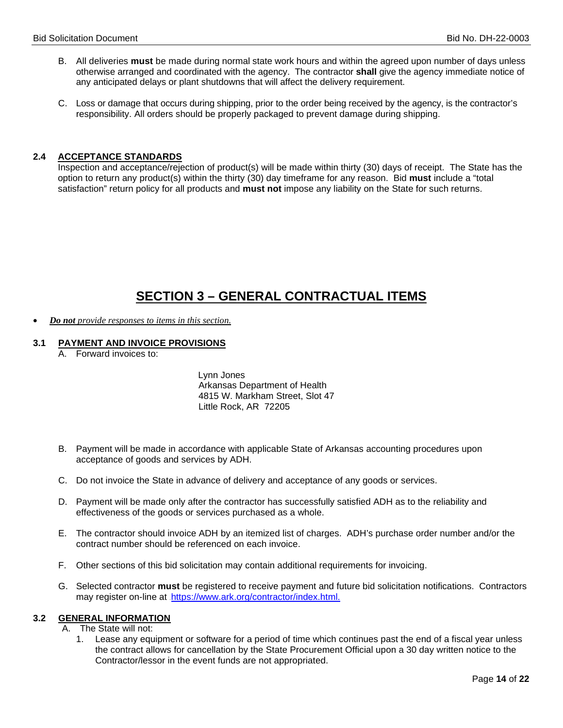- B. All deliveries **must** be made during normal state work hours and within the agreed upon number of days unless otherwise arranged and coordinated with the agency. The contractor **shall** give the agency immediate notice of any anticipated delays or plant shutdowns that will affect the delivery requirement.
- C. Loss or damage that occurs during shipping, prior to the order being received by the agency, is the contractor's responsibility. All orders should be properly packaged to prevent damage during shipping.

### **2.4 ACCEPTANCE STANDARDS**

Inspection and acceptance/rejection of product(s) will be made within thirty (30) days of receipt. The State has the option to return any product(s) within the thirty (30) day timeframe for any reason. Bid **must** include a "total satisfaction" return policy for all products and **must not** impose any liability on the State for such returns.

## **SECTION 3 – GENERAL CONTRACTUAL ITEMS**

• *Do not provide responses to items in this section.*

### **3.1 PAYMENT AND INVOICE PROVISIONS**

A. Forward invoices to:

 Lynn Jones Arkansas Department of Health 4815 W. Markham Street, Slot 47 Little Rock, AR 72205

- B. Payment will be made in accordance with applicable State of Arkansas accounting procedures upon acceptance of goods and services by ADH.
- C. Do not invoice the State in advance of delivery and acceptance of any goods or services.
- D. Payment will be made only after the contractor has successfully satisfied ADH as to the reliability and effectiveness of the goods or services purchased as a whole.
- E. The contractor should invoice ADH by an itemized list of charges. ADH's purchase order number and/or the contract number should be referenced on each invoice.
- F. Other sections of this bid solicitation may contain additional requirements for invoicing.
- G. Selected contractor **must** be registered to receive payment and future bid solicitation notifications. Contractors may register on-line at [https://www.ark.org/contractor/index.html.](https://www.ark.org/vendor/index.html)

### **3.2 GENERAL INFORMATION**

- A. The State will not:
	- 1. Lease any equipment or software for a period of time which continues past the end of a fiscal year unless the contract allows for cancellation by the State Procurement Official upon a 30 day written notice to the Contractor/lessor in the event funds are not appropriated.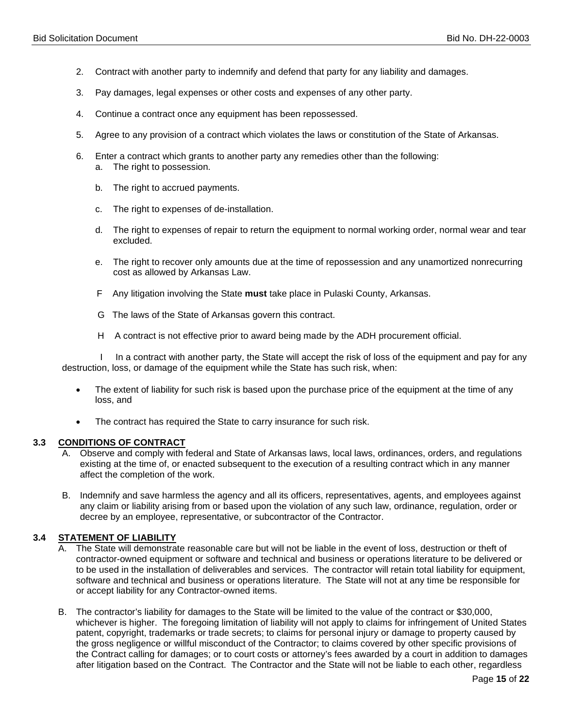- 2. Contract with another party to indemnify and defend that party for any liability and damages.
- 3. Pay damages, legal expenses or other costs and expenses of any other party.
- 4. Continue a contract once any equipment has been repossessed.
- 5. Agree to any provision of a contract which violates the laws or constitution of the State of Arkansas.
- 6. Enter a contract which grants to another party any remedies other than the following: a. The right to possession.
	- b. The right to accrued payments.
	- c. The right to expenses of de-installation.
	- d. The right to expenses of repair to return the equipment to normal working order, normal wear and tear excluded.
	- e. The right to recover only amounts due at the time of repossession and any unamortized nonrecurring cost as allowed by Arkansas Law.
	- F Any litigation involving the State **must** take place in Pulaski County, Arkansas.
	- G The laws of the State of Arkansas govern this contract.
	- H A contract is not effective prior to award being made by the ADH procurement official.

 I In a contract with another party, the State will accept the risk of loss of the equipment and pay for any destruction, loss, or damage of the equipment while the State has such risk, when:

- The extent of liability for such risk is based upon the purchase price of the equipment at the time of any loss, and
- The contract has required the State to carry insurance for such risk.

### **3.3 CONDITIONS OF CONTRACT**

- A. Observe and comply with federal and State of Arkansas laws, local laws, ordinances, orders, and regulations existing at the time of, or enacted subsequent to the execution of a resulting contract which in any manner affect the completion of the work.
- B. Indemnify and save harmless the agency and all its officers, representatives, agents, and employees against any claim or liability arising from or based upon the violation of any such law, ordinance, regulation, order or decree by an employee, representative, or subcontractor of the Contractor.

### **3.4 STATEMENT OF LIABILITY**

- A. The State will demonstrate reasonable care but will not be liable in the event of loss, destruction or theft of contractor-owned equipment or software and technical and business or operations literature to be delivered or to be used in the installation of deliverables and services. The contractor will retain total liability for equipment, software and technical and business or operations literature. The State will not at any time be responsible for or accept liability for any Contractor-owned items.
- B. The contractor's liability for damages to the State will be limited to the value of the contract or \$30,000, whichever is higher. The foregoing limitation of liability will not apply to claims for infringement of United States patent, copyright, trademarks or trade secrets; to claims for personal injury or damage to property caused by the gross negligence or willful misconduct of the Contractor; to claims covered by other specific provisions of the Contract calling for damages; or to court costs or attorney's fees awarded by a court in addition to damages after litigation based on the Contract. The Contractor and the State will not be liable to each other, regardless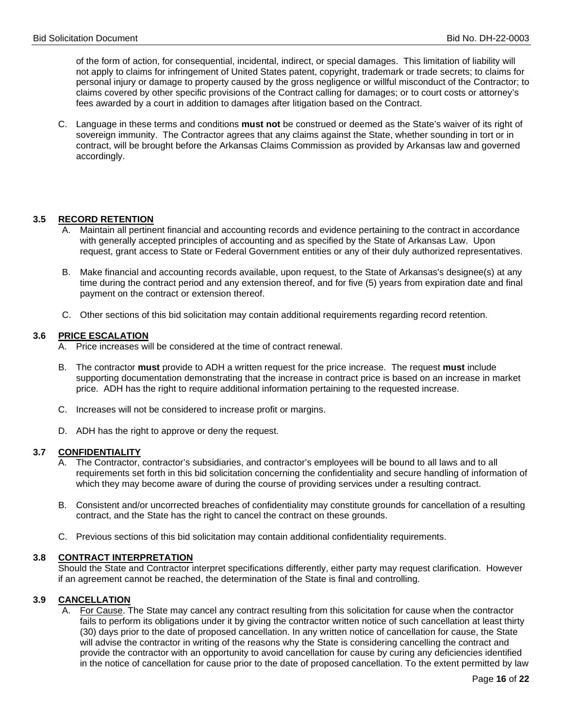of the form of action, for consequential, incidental, indirect, or special damages. This limitation of liability will not apply to claims for infringement of United States patent, copyright, trademark or trade secrets; to claims for personal injury or damage to property caused by the gross negligence or willful misconduct of the Contractor; to claims covered by other specific provisions of the Contract calling for damages; or to court costs or attorney's fees awarded by a court in addition to damages after litigation based on the Contract.

C. Language in these terms and conditions **must not** be construed or deemed as the State's waiver of its right of sovereign immunity. The Contractor agrees that any claims against the State, whether sounding in tort or in contract, will be brought before the Arkansas Claims Commission as provided by Arkansas law and governed accordingly.

### **3.5 RECORD RETENTION**

- A. Maintain all pertinent financial and accounting records and evidence pertaining to the contract in accordance with generally accepted principles of accounting and as specified by the State of Arkansas Law. Upon request, grant access to State or Federal Government entities or any of their duly authorized representatives.
- B. Make financial and accounting records available, upon request, to the State of Arkansas's designee(s) at any time during the contract period and any extension thereof, and for five (5) years from expiration date and final payment on the contract or extension thereof.
- C. Other sections of this bid solicitation may contain additional requirements regarding record retention.

### **3.6 PRICE ESCALATION**

- A. Price increases will be considered at the time of contract renewal.
- B. The contractor **must** provide to ADH a written request for the price increase. The request **must** include supporting documentation demonstrating that the increase in contract price is based on an increase in market price. ADH has the right to require additional information pertaining to the requested increase.
- C. Increases will not be considered to increase profit or margins.
- D. ADH has the right to approve or deny the request.

### **3.7 CONFIDENTIALITY**

- A. The Contractor, contractor's subsidiaries, and contractor's employees will be bound to all laws and to all requirements set forth in this bid solicitation concerning the confidentiality and secure handling of information of which they may become aware of during the course of providing services under a resulting contract.
- B. Consistent and/or uncorrected breaches of confidentiality may constitute grounds for cancellation of a resulting contract, and the State has the right to cancel the contract on these grounds.
- C. Previous sections of this bid solicitation may contain additional confidentiality requirements.

### **3.8 CONTRACT INTERPRETATION**

Should the State and Contractor interpret specifications differently, either party may request clarification. However if an agreement cannot be reached, the determination of the State is final and controlling.

### **3.9 CANCELLATION**

A. For Cause. The State may cancel any contract resulting from this solicitation for cause when the contractor fails to perform its obligations under it by giving the contractor written notice of such cancellation at least thirty (30) days prior to the date of proposed cancellation. In any written notice of cancellation for cause, the State will advise the contractor in writing of the reasons why the State is considering cancelling the contract and provide the contractor with an opportunity to avoid cancellation for cause by curing any deficiencies identified in the notice of cancellation for cause prior to the date of proposed cancellation. To the extent permitted by law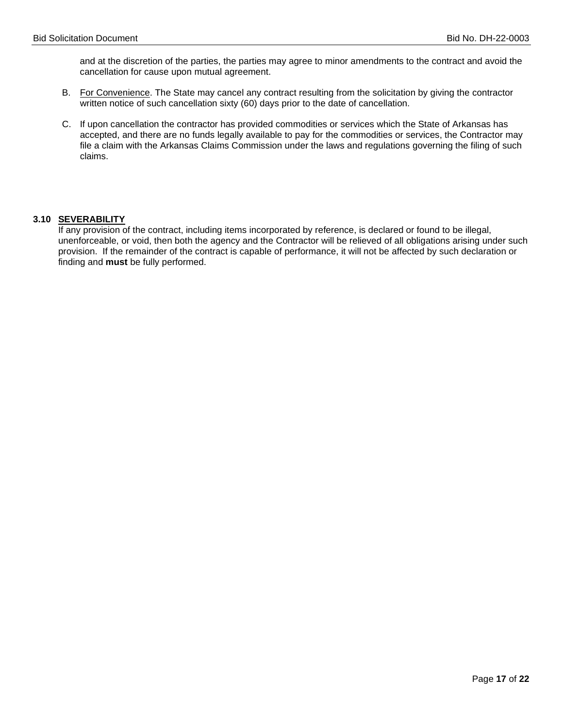and at the discretion of the parties, the parties may agree to minor amendments to the contract and avoid the cancellation for cause upon mutual agreement.

- B. For Convenience. The State may cancel any contract resulting from the solicitation by giving the contractor written notice of such cancellation sixty (60) days prior to the date of cancellation.
- C. If upon cancellation the contractor has provided commodities or services which the State of Arkansas has accepted, and there are no funds legally available to pay for the commodities or services, the Contractor may file a claim with the Arkansas Claims Commission under the laws and regulations governing the filing of such claims.

### **3.10 SEVERABILITY**

If any provision of the contract, including items incorporated by reference, is declared or found to be illegal, unenforceable, or void, then both the agency and the Contractor will be relieved of all obligations arising under such provision. If the remainder of the contract is capable of performance, it will not be affected by such declaration or finding and **must** be fully performed.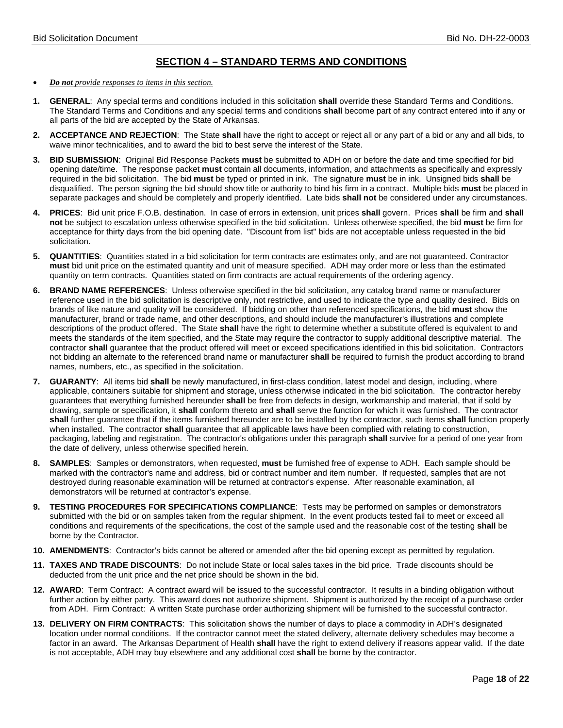### **SECTION 4 – STANDARD TERMS AND CONDITIONS**

- *Do not provide responses to items in this section.*
- **1. GENERAL**: Any special terms and conditions included in this solicitation **shall** override these Standard Terms and Conditions. The Standard Terms and Conditions and any special terms and conditions **shall** become part of any contract entered into if any or all parts of the bid are accepted by the State of Arkansas.
- **2. ACCEPTANCE AND REJECTION**: The State **shall** have the right to accept or reject all or any part of a bid or any and all bids, to waive minor technicalities, and to award the bid to best serve the interest of the State.
- **3. BID SUBMISSION**: Original Bid Response Packets **must** be submitted to ADH on or before the date and time specified for bid opening date/time. The response packet **must** contain all documents, information, and attachments as specifically and expressly required in the bid solicitation. The bid **must** be typed or printed in ink. The signature **must** be in ink. Unsigned bids **shall** be disqualified. The person signing the bid should show title or authority to bind his firm in a contract. Multiple bids **must** be placed in separate packages and should be completely and properly identified. Late bids **shall not** be considered under any circumstances.
- **4. PRICES**: Bid unit price F.O.B. destination. In case of errors in extension, unit prices **shall** govern. Prices **shall** be firm and **shall not** be subject to escalation unless otherwise specified in the bid solicitation. Unless otherwise specified, the bid **must** be firm for acceptance for thirty days from the bid opening date. "Discount from list" bids are not acceptable unless requested in the bid solicitation.
- **5. QUANTITIES**: Quantities stated in a bid solicitation for term contracts are estimates only, and are not guaranteed. Contractor **must** bid unit price on the estimated quantity and unit of measure specified. ADH may order more or less than the estimated quantity on term contracts. Quantities stated on firm contracts are actual requirements of the ordering agency.
- **6. BRAND NAME REFERENCES**: Unless otherwise specified in the bid solicitation, any catalog brand name or manufacturer reference used in the bid solicitation is descriptive only, not restrictive, and used to indicate the type and quality desired. Bids on brands of like nature and quality will be considered. If bidding on other than referenced specifications, the bid **must** show the manufacturer, brand or trade name, and other descriptions, and should include the manufacturer's illustrations and complete descriptions of the product offered. The State **shall** have the right to determine whether a substitute offered is equivalent to and meets the standards of the item specified, and the State may require the contractor to supply additional descriptive material. The contractor **shall** guarantee that the product offered will meet or exceed specifications identified in this bid solicitation. Contractors not bidding an alternate to the referenced brand name or manufacturer **shall** be required to furnish the product according to brand names, numbers, etc., as specified in the solicitation.
- **7. GUARANTY**: All items bid **shall** be newly manufactured, in first-class condition, latest model and design, including, where applicable, containers suitable for shipment and storage, unless otherwise indicated in the bid solicitation. The contractor hereby guarantees that everything furnished hereunder **shall** be free from defects in design, workmanship and material, that if sold by drawing, sample or specification, it **shall** conform thereto and **shall** serve the function for which it was furnished. The contractor **shall** further guarantee that if the items furnished hereunder are to be installed by the contractor, such items **shall** function properly when installed. The contractor **shall** guarantee that all applicable laws have been complied with relating to construction, packaging, labeling and registration. The contractor's obligations under this paragraph **shall** survive for a period of one year from the date of delivery, unless otherwise specified herein.
- **8. SAMPLES**: Samples or demonstrators, when requested, **must** be furnished free of expense to ADH. Each sample should be marked with the contractor's name and address, bid or contract number and item number. If requested, samples that are not destroyed during reasonable examination will be returned at contractor's expense. After reasonable examination, all demonstrators will be returned at contractor's expense.
- **9. TESTING PROCEDURES FOR SPECIFICATIONS COMPLIANCE**: Tests may be performed on samples or demonstrators submitted with the bid or on samples taken from the regular shipment. In the event products tested fail to meet or exceed all conditions and requirements of the specifications, the cost of the sample used and the reasonable cost of the testing **shall** be borne by the Contractor.
- **10. AMENDMENTS**: Contractor's bids cannot be altered or amended after the bid opening except as permitted by regulation.
- **11. TAXES AND TRADE DISCOUNTS**: Do not include State or local sales taxes in the bid price. Trade discounts should be deducted from the unit price and the net price should be shown in the bid.
- **12. AWARD**: Term Contract: A contract award will be issued to the successful contractor. It results in a binding obligation without further action by either party. This award does not authorize shipment. Shipment is authorized by the receipt of a purchase order from ADH. Firm Contract: A written State purchase order authorizing shipment will be furnished to the successful contractor.
- **13. DELIVERY ON FIRM CONTRACTS**: This solicitation shows the number of days to place a commodity in ADH's designated location under normal conditions. If the contractor cannot meet the stated delivery, alternate delivery schedules may become a factor in an award. The Arkansas Department of Health **shall** have the right to extend delivery if reasons appear valid. If the date is not acceptable, ADH may buy elsewhere and any additional cost **shall** be borne by the contractor.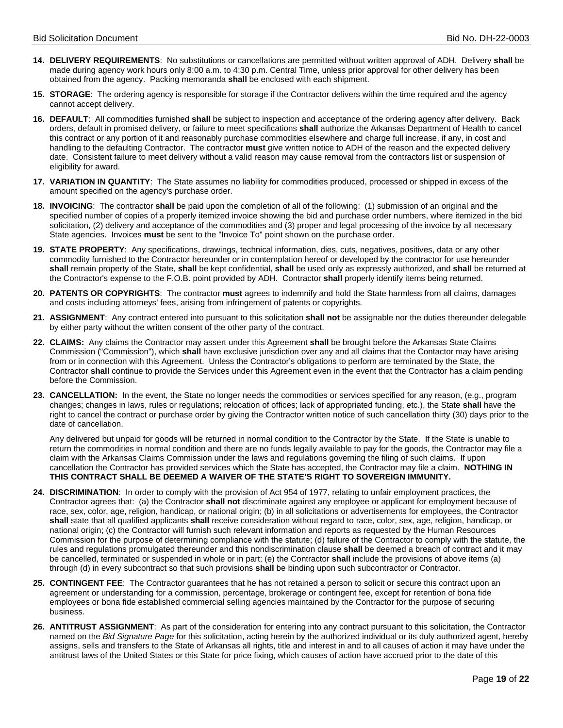- **14. DELIVERY REQUIREMENTS**: No substitutions or cancellations are permitted without written approval of ADH. Delivery **shall** be made during agency work hours only 8:00 a.m. to 4:30 p.m. Central Time, unless prior approval for other delivery has been obtained from the agency. Packing memoranda **shall** be enclosed with each shipment.
- **15. STORAGE**: The ordering agency is responsible for storage if the Contractor delivers within the time required and the agency cannot accept delivery.
- **16. DEFAULT**: All commodities furnished **shall** be subject to inspection and acceptance of the ordering agency after delivery. Back orders, default in promised delivery, or failure to meet specifications **shall** authorize the Arkansas Department of Health to cancel this contract or any portion of it and reasonably purchase commodities elsewhere and charge full increase, if any, in cost and handling to the defaulting Contractor. The contractor **must** give written notice to ADH of the reason and the expected delivery date. Consistent failure to meet delivery without a valid reason may cause removal from the contractors list or suspension of eligibility for award.
- **17. VARIATION IN QUANTITY**: The State assumes no liability for commodities produced, processed or shipped in excess of the amount specified on the agency's purchase order.
- **18. INVOICING**: The contractor **shall** be paid upon the completion of all of the following: (1) submission of an original and the specified number of copies of a properly itemized invoice showing the bid and purchase order numbers, where itemized in the bid solicitation, (2) delivery and acceptance of the commodities and (3) proper and legal processing of the invoice by all necessary State agencies. Invoices **must** be sent to the "Invoice To" point shown on the purchase order.
- **19. STATE PROPERTY**: Any specifications, drawings, technical information, dies, cuts, negatives, positives, data or any other commodity furnished to the Contractor hereunder or in contemplation hereof or developed by the contractor for use hereunder **shall** remain property of the State, **shall** be kept confidential, **shall** be used only as expressly authorized, and **shall** be returned at the Contractor's expense to the F.O.B. point provided by ADH. Contractor **shall** properly identify items being returned.
- **20. PATENTS OR COPYRIGHTS**: The contractor **must** agrees to indemnify and hold the State harmless from all claims, damages and costs including attorneys' fees, arising from infringement of patents or copyrights.
- **21. ASSIGNMENT**: Any contract entered into pursuant to this solicitation **shall not** be assignable nor the duties thereunder delegable by either party without the written consent of the other party of the contract.
- **22. CLAIMS:** Any claims the Contractor may assert under this Agreement **shall** be brought before the Arkansas State Claims Commission ("Commission"), which **shall** have exclusive jurisdiction over any and all claims that the Contactor may have arising from or in connection with this Agreement. Unless the Contractor's obligations to perform are terminated by the State, the Contractor **shall** continue to provide the Services under this Agreement even in the event that the Contractor has a claim pending before the Commission.
- **23. CANCELLATION:** In the event, the State no longer needs the commodities or services specified for any reason, (e.g., program changes; changes in laws, rules or regulations; relocation of offices; lack of appropriated funding, etc.), the State **shall** have the right to cancel the contract or purchase order by giving the Contractor written notice of such cancellation thirty (30) days prior to the date of cancellation.

Any delivered but unpaid for goods will be returned in normal condition to the Contractor by the State. If the State is unable to return the commodities in normal condition and there are no funds legally available to pay for the goods, the Contractor may file a claim with the Arkansas Claims Commission under the laws and regulations governing the filing of such claims. If upon cancellation the Contractor has provided services which the State has accepted, the Contractor may file a claim. **NOTHING IN THIS CONTRACT SHALL BE DEEMED A WAIVER OF THE STATE'S RIGHT TO SOVEREIGN IMMUNITY.**

- **24. DISCRIMINATION**: In order to comply with the provision of Act 954 of 1977, relating to unfair employment practices, the Contractor agrees that: (a) the Contractor **shall not** discriminate against any employee or applicant for employment because of race, sex, color, age, religion, handicap, or national origin; (b) in all solicitations or advertisements for employees, the Contractor **shall** state that all qualified applicants **shall** receive consideration without regard to race, color, sex, age, religion, handicap, or national origin; (c) the Contractor will furnish such relevant information and reports as requested by the Human Resources Commission for the purpose of determining compliance with the statute; (d) failure of the Contractor to comply with the statute, the rules and regulations promulgated thereunder and this nondiscrimination clause **shall** be deemed a breach of contract and it may be cancelled, terminated or suspended in whole or in part; (e) the Contractor **shall** include the provisions of above items (a) through (d) in every subcontract so that such provisions **shall** be binding upon such subcontractor or Contractor.
- **25. CONTINGENT FEE**: The Contractor guarantees that he has not retained a person to solicit or secure this contract upon an agreement or understanding for a commission, percentage, brokerage or contingent fee, except for retention of bona fide employees or bona fide established commercial selling agencies maintained by the Contractor for the purpose of securing business.
- **26. ANTITRUST ASSIGNMENT**: As part of the consideration for entering into any contract pursuant to this solicitation, the Contractor named on the *Bid Signature Page* for this solicitation, acting herein by the authorized individual or its duly authorized agent, hereby assigns, sells and transfers to the State of Arkansas all rights, title and interest in and to all causes of action it may have under the antitrust laws of the United States or this State for price fixing, which causes of action have accrued prior to the date of this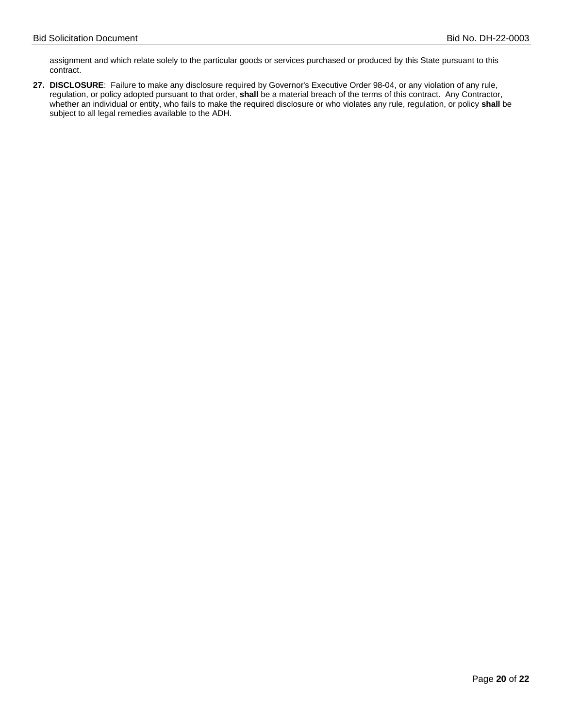assignment and which relate solely to the particular goods or services purchased or produced by this State pursuant to this contract.

**27. DISCLOSURE**: Failure to make any disclosure required by Governor's Executive Order 98-04, or any violation of any rule, regulation, or policy adopted pursuant to that order, **shall** be a material breach of the terms of this contract. Any Contractor, whether an individual or entity, who fails to make the required disclosure or who violates any rule, regulation, or policy **shall** be subject to all legal remedies available to the ADH.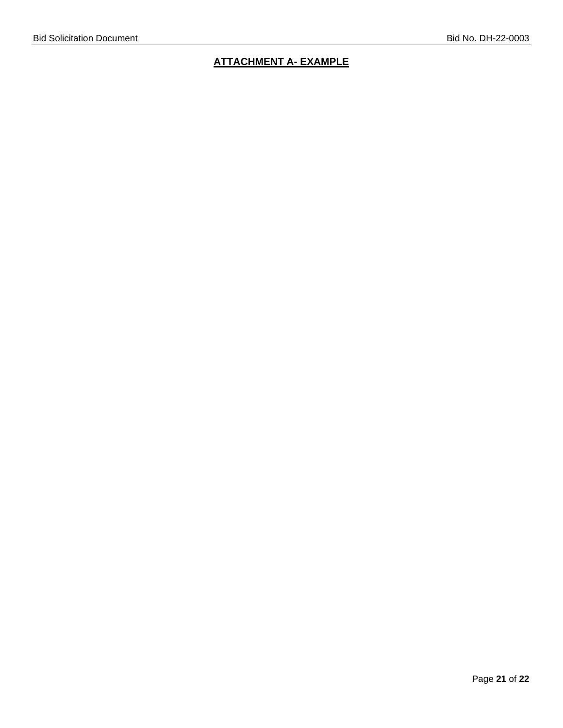### **ATTACHMENT A- EXAMPLE**